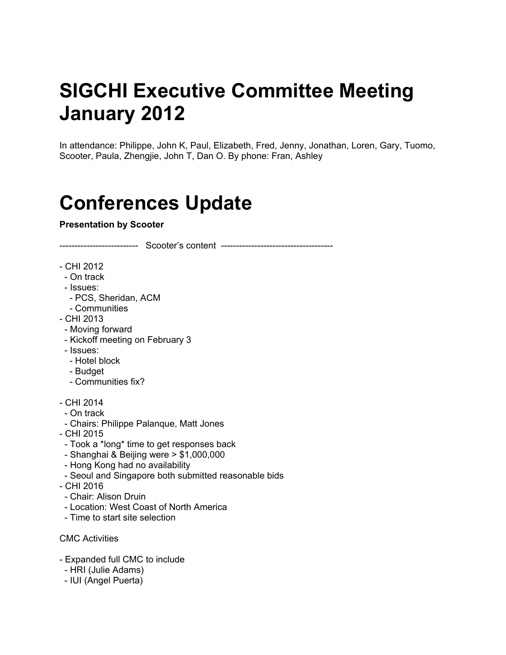# **SIGCHI Executive Committee Meeting January 2012**

In attendance: Philippe, John K, Paul, Elizabeth, Fred, Jenny, Jonathan, Loren, Gary, Tuomo, Scooter, Paula, Zhengjie, John T, Dan O. By phone: Fran, Ashley

# **Conferences Update**

#### **Presentation by Scooter**

-------------------------- Scooter's content -------------------------------------

- CHI 2012
- On track
- Issues:
- PCS, Sheridan, ACM
- Communities
- CHI 2013
- Moving forward
- Kickoff meeting on February 3
- Issues:
- Hotel block
- Budget
- Communities fix?
- CHI 2014
- On track
- Chairs: Philippe Palanque, Matt Jones
- CHI 2015
- Took a \*long\* time to get responses back
- Shanghai & Beijing were > \$1,000,000
- Hong Kong had no availability
- Seoul and Singapore both submitted reasonable bids
- CHI 2016
- Chair: Alison Druin
- Location: West Coast of North America
- Time to start site selection
- CMC Activities
- Expanded full CMC to include
- HRI (Julie Adams)
- IUI (Angel Puerta)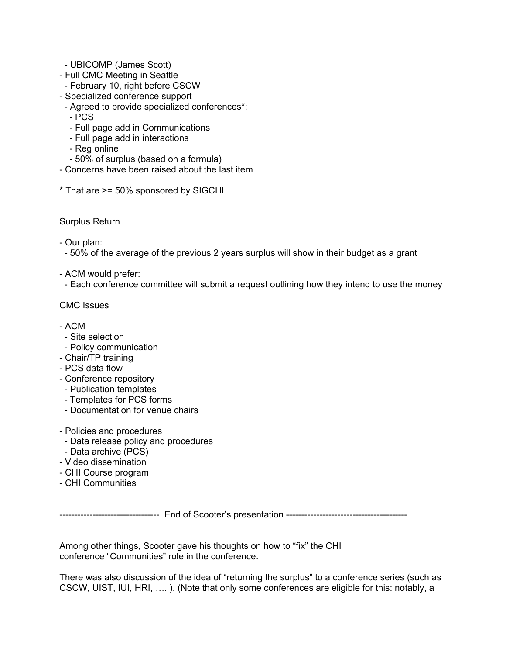- UBICOMP (James Scott)
- Full CMC Meeting in Seattle
- February 10, right before CSCW
- Specialized conference support
- Agreed to provide specialized conferences\*:
- PCS
- Full page add in Communications
- Full page add in interactions
- Reg online
- 50% of surplus (based on a formula)
- Concerns have been raised about the last item
- \* That are >= 50% sponsored by SIGCHI

Surplus Return

- Our plan:

- 50% of the average of the previous 2 years surplus will show in their budget as a grant

- ACM would prefer:

- Each conference committee will submit a request outlining how they intend to use the money

CMC Issues

- $-$  ACM
- Site selection
- Policy communication
- Chair/TP training
- PCS data flow
- Conference repository
- Publication templates
- Templates for PCS forms
- Documentation for venue chairs
- Policies and procedures
- Data release policy and procedures
- Data archive (PCS)
- Video dissemination
- CHI Course program
- CHI Communities

--------------------------------- End of Scooter's presentation ----------------------------------------

Among other things, Scooter gave his thoughts on how to "fix" the CHI conference "Communities" role in the conference.

There was also discussion of the idea of "returning the surplus" to a conference series (such as CSCW, UIST, IUI, HRI, …. ). (Note that only some conferences are eligible for this: notably, a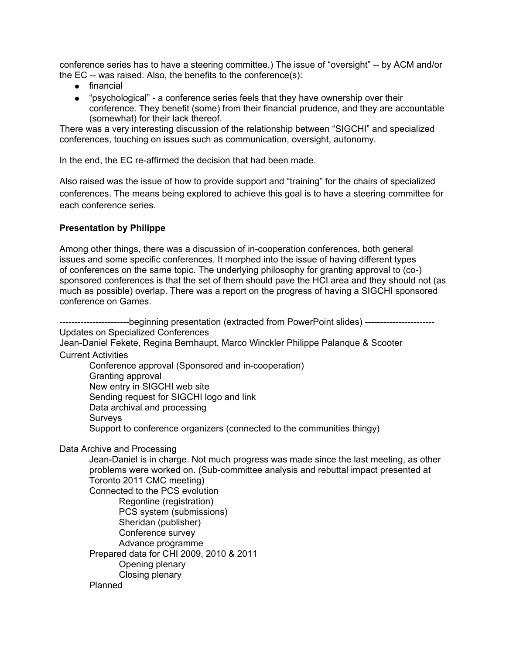conference series has to have a steering committee.) The issue of "oversight" -- by ACM and/or the EC -- was raised. Also, the benefits to the conference(s):

- financial
- "psychological" a conference series feels that they have ownership over their conference. They benefit (some) from their financial prudence, and they are accountable (somewhat) for their lack thereof.

There was a very interesting discussion of the relationship between "SIGCHI" and specialized conferences, touching on issues such as communication, oversight, autonomy.

In the end, the EC re-affirmed the decision that had been made.

Also raised was the issue of how to provide support and "training" for the chairs of specialized conferences. The means being explored to achieve this goal is to have a steering committee for each conference series.

#### **Presentation by Philippe**

Among other things, there was a discussion of in-cooperation conferences, both general issues and some specific conferences. It morphed into the issue of having different types of conferences on the same topic. The underlying philosophy for granting approval to (co-) sponsored conferences is that the set of them should pave the HCI area and they should not (as much as possible) overlap. There was a report on the progress of having a SIGCHI sponsored conference on Games.

-----------------------beginning presentation (extracted from PowerPoint slides) ----------------------- Updates on Specialized Conferences Jean-Daniel Fekete, Regina Bernhaupt, Marco Winckler Philippe Palanque & Scooter Current Activities Conference approval (Sponsored and in-cooperation) Granting approval New entry in SIGCHI web site Sending request for SIGCHI logo and link Data archival and processing **Surveys** Support to conference organizers (connected to the communities thingy) Data Archive and Processing

Jean-Daniel is in charge. Not much progress was made since the last meeting, as other problems were worked on. (Sub-committee analysis and rebuttal impact presented at Toronto 2011 CMC meeting) Connected to the PCS evolution Regonline (registration) PCS system (submissions) Sheridan (publisher) Conference survey Advance programme Prepared data for CHI 2009, 2010 & 2011 Opening plenary Closing plenary Planned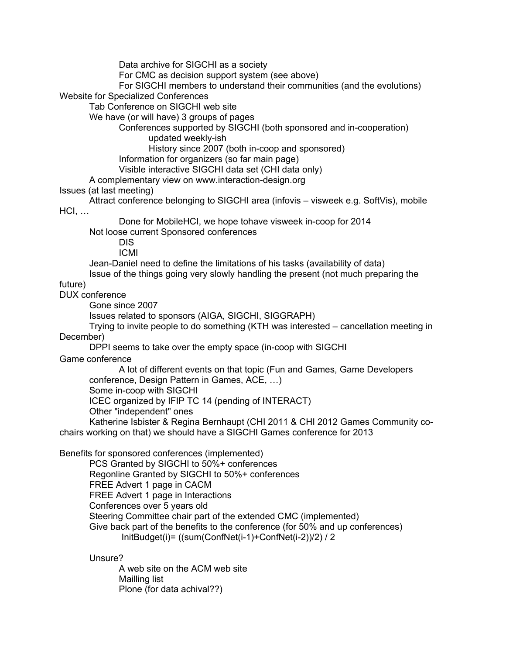Data archive for SIGCHI as a society

For CMC as decision support system (see above)

For SIGCHI members to understand their communities (and the evolutions)

Website for Specialized Conferences

Tab Conference on SIGCHI web site

We have (or will have) 3 groups of pages

Conferences supported by SIGCHI (both sponsored and in-cooperation) updated weekly-ish

History since 2007 (both in-coop and sponsored)

Information for organizers (so far main page)

Visible interactive SIGCHI data set (CHI data only)

A complementary view on www.interaction-design.org

Issues (at last meeting)

Attract conference belonging to SIGCHI area (infovis – visweek e.g. SoftVis), mobile HCI, …

Done for MobileHCI, we hope tohave visweek in-coop for 2014

Not loose current Sponsored conferences

DIS ICMI

Jean-Daniel need to define the limitations of his tasks (availability of data)

Issue of the things going very slowly handling the present (not much preparing the

## future)

DUX conference

Gone since 2007

Issues related to sponsors (AIGA, SIGCHI, SIGGRAPH)

Trying to invite people to do something (KTH was interested – cancellation meeting in December)

DPPI seems to take over the empty space (in-coop with SIGCHI

Game conference

A lot of different events on that topic (Fun and Games, Game Developers conference, Design Pattern in Games, ACE, …)

Some in-coop with SIGCHI

ICEC organized by IFIP TC 14 (pending of INTERACT)

Other "independent" ones

Katherine Isbister & Regina Bernhaupt (CHI 2011 & CHI 2012 Games Community cochairs working on that) we should have a SIGCHI Games conference for 2013

Benefits for sponsored conferences (implemented)

PCS Granted by SIGCHI to 50%+ conferences Regonline Granted by SIGCHI to 50%+ conferences FREE Advert 1 page in CACM FREE Advert 1 page in Interactions Conferences over 5 years old Steering Committee chair part of the extended CMC (implemented) Give back part of the benefits to the conference (for 50% and up conferences) InitBudget(i)= ((sum(ConfNet(i-1)+ConfNet(i-2))/2) / 2

Unsure?

A web site on the ACM web site Mailling list Plone (for data achival??)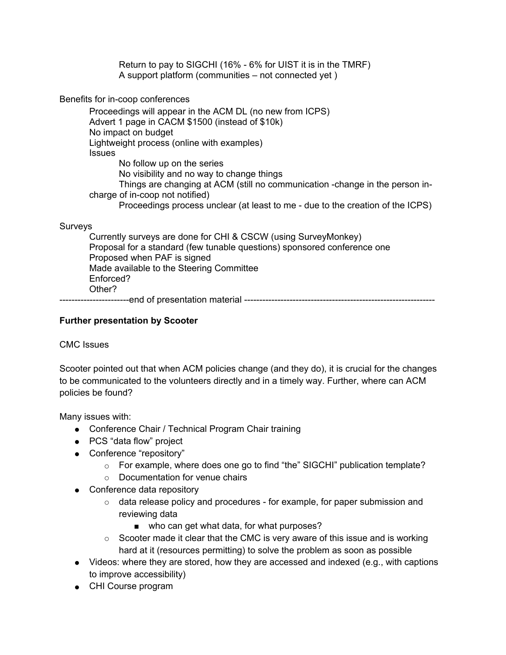Return to pay to SIGCHI (16% - 6% for UIST it is in the TMRF) A support platform (communities – not connected yet )

Benefits for in-coop conferences

Proceedings will appear in the ACM DL (no new from ICPS) Advert 1 page in CACM \$1500 (instead of \$10k) No impact on budget Lightweight process (online with examples) **Issues** No follow up on the series No visibility and no way to change things Things are changing at ACM (still no communication -change in the person incharge of in-coop not notified) Proceedings process unclear (at least to me - due to the creation of the ICPS)

#### Surveys

Currently surveys are done for CHI & CSCW (using SurveyMonkey) Proposal for a standard (few tunable questions) sponsored conference one Proposed when PAF is signed Made available to the Steering Committee Enforced? Other?

-----------------------end of presentation material ---------------------------------------------------------------

#### **Further presentation by Scooter**

CMC Issues

Scooter pointed out that when ACM policies change (and they do), it is crucial for the changes to be communicated to the volunteers directly and in a timely way. Further, where can ACM policies be found?

Many issues with:

- Conference Chair / Technical Program Chair training
- PCS "data flow" project
- Conference "repository"
	- $\circ$  For example, where does one go to find "the" SIGCHI" publication template?
	- Documentation for venue chairs
- Conference data repository
	- $\circ$  data release policy and procedures for example, for paper submission and reviewing data
		- who can get what data, for what purposes?
	- $\circ$  Scooter made it clear that the CMC is very aware of this issue and is working hard at it (resources permitting) to solve the problem as soon as possible
- Videos: where they are stored, how they are accessed and indexed (e.g., with captions to improve accessibility)
- CHI Course program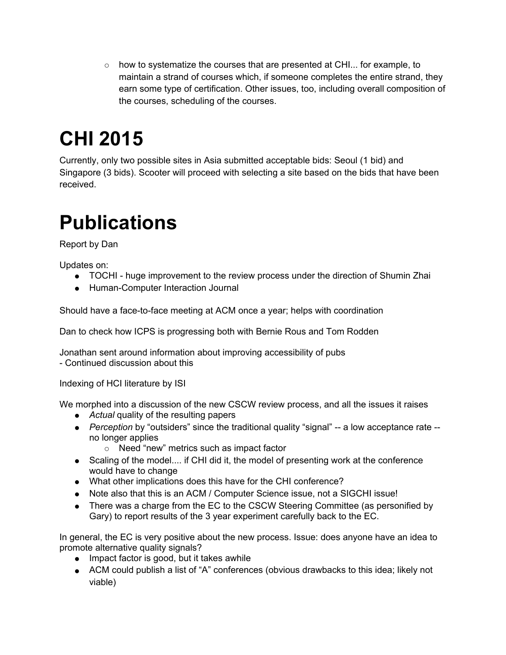$\circ$  how to systematize the courses that are presented at CHI... for example, to maintain a strand of courses which, if someone completes the entire strand, they earn some type of certification. Other issues, too, including overall composition of the courses, scheduling of the courses.

# **CHI 2015**

Currently, only two possible sites in Asia submitted acceptable bids: Seoul (1 bid) and Singapore (3 bids). Scooter will proceed with selecting a site based on the bids that have been received.

# **Publications**

Report by Dan

Updates on:

- TOCHI huge improvement to the review process under the direction of Shumin Zhai
- Human-Computer Interaction Journal

Should have a face-to-face meeting at ACM once a year; helps with coordination

Dan to check how ICPS is progressing both with Bernie Rous and Tom Rodden

Jonathan sent around information about improving accessibility of pubs - Continued discussion about this

Indexing of HCI literature by ISI

We morphed into a discussion of the new CSCW review process, and all the issues it raises

- *Actual* quality of the resulting papers
- *Perception* by "outsiders" since the traditional quality "signal" -- a low acceptance rate no longer applies
	- Need "new" metrics such as impact factor
- Scaling of the model.... if CHI did it, the model of presenting work at the conference would have to change
- What other implications does this have for the CHI conference?
- Note also that this is an ACM / Computer Science issue, not a SIGCHI issue!
- There was a charge from the EC to the CSCW Steering Committee (as personified by Gary) to report results of the 3 year experiment carefully back to the EC.

In general, the EC is very positive about the new process. Issue: does anyone have an idea to promote alternative quality signals?

- Impact factor is good, but it takes awhile
- ACM could publish a list of "A" conferences (obvious drawbacks to this idea; likely not viable)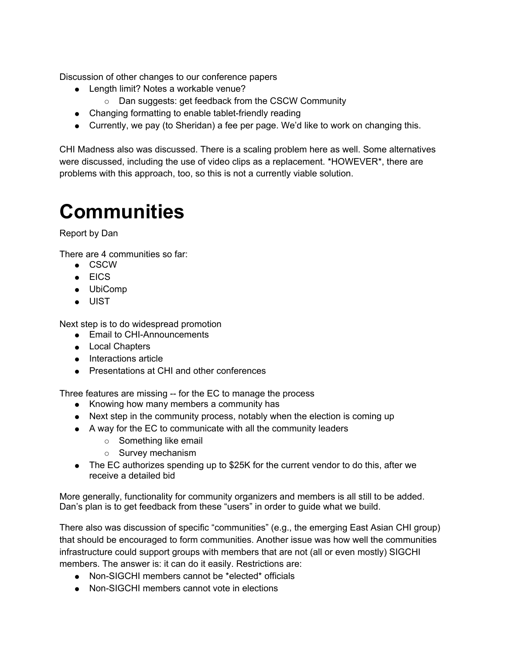Discussion of other changes to our conference papers

- Length limit? Notes a workable venue?
	- Dan suggests: get feedback from the CSCW Community
- Changing formatting to enable tablet-friendly reading
- Currently, we pay (to Sheridan) a fee per page. We'd like to work on changing this.

CHI Madness also was discussed. There is a scaling problem here as well. Some alternatives were discussed, including the use of video clips as a replacement. \*HOWEVER\*, there are problems with this approach, too, so this is not a currently viable solution.

# **Communities**

Report by Dan

There are 4 communities so far:

- CSCW
- EICS
- UbiComp
- UIST

Next step is to do widespread promotion

- Email to CHI-Announcements
- Local Chapters
- Interactions article
- Presentations at CHI and other conferences

Three features are missing -- for the EC to manage the process

- Knowing how many members a community has
- Next step in the community process, notably when the election is coming up
- A way for the EC to communicate with all the community leaders
	- Something like email
	- Survey mechanism
- The EC authorizes spending up to \$25K for the current vendor to do this, after we receive a detailed bid

More generally, functionality for community organizers and members is all still to be added. Dan's plan is to get feedback from these "users" in order to guide what we build.

There also was discussion of specific "communities" (e.g., the emerging East Asian CHI group) that should be encouraged to form communities. Another issue was how well the communities infrastructure could support groups with members that are not (all or even mostly) SIGCHI members. The answer is: it can do it easily. Restrictions are:

- Non-SIGCHI members cannot be \*elected\* officials
- Non-SIGCHI members cannot vote in elections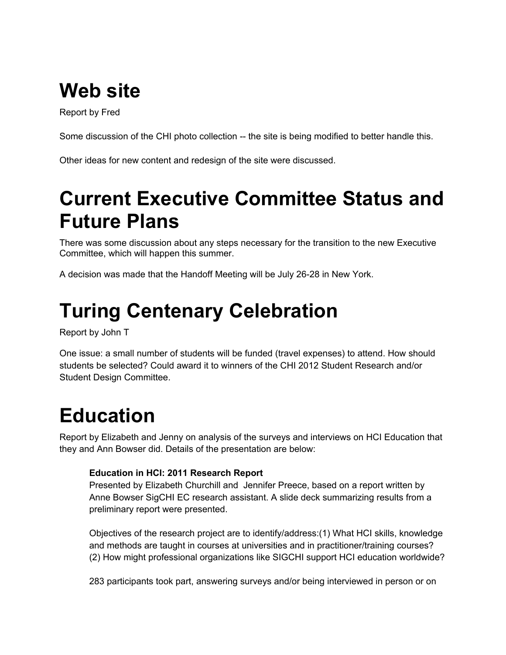# **Web site**

Report by Fred

Some discussion of the CHI photo collection -- the site is being modified to better handle this.

Other ideas for new content and redesign of the site were discussed.

# **Current Executive Committee Status and Future Plans**

There was some discussion about any steps necessary for the transition to the new Executive Committee, which will happen this summer.

A decision was made that the Handoff Meeting will be July 26-28 in New York.

# **Turing Centenary Celebration**

Report by John T

One issue: a small number of students will be funded (travel expenses) to attend. How should students be selected? Could award it to winners of the CHI 2012 Student Research and/or Student Design Committee.

# **Education**

Report by Elizabeth and Jenny on analysis of the surveys and interviews on HCI Education that they and Ann Bowser did. Details of the presentation are below:

### **Education in HCI: 2011 Research Report**

Presented by Elizabeth Churchill and Jennifer Preece, based on a report written by Anne Bowser SigCHI EC research assistant. A slide deck summarizing results from a preliminary report were presented.

Objectives of the research project are to identify/address:(1) What HCI skills, knowledge and methods are taught in courses at universities and in practitioner/training courses? (2) How might professional organizations like SIGCHI support HCI education worldwide?

283 participants took part, answering surveys and/or being interviewed in person or on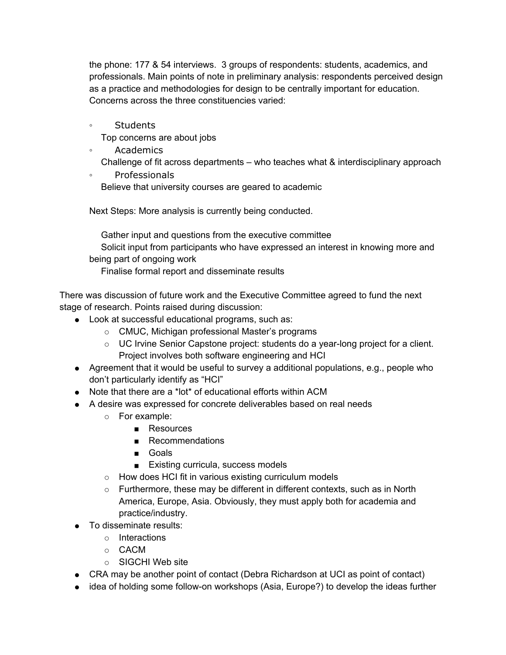the phone: 177 & 54 interviews. 3 groups of respondents: students, academics, and professionals. Main points of note in preliminary analysis: respondents perceived design as a practice and methodologies for design to be centrally important for education. Concerns across the three constituencies varied:

◦ Students

Top concerns are about jobs

- Academics
	- Challenge of fit across departments who teaches what & interdisciplinary approach
- Professionals Believe that university courses are geared to academic

Next Steps: More analysis is currently being conducted.

Gather input and questions from the executive committee Solicit input from participants who have expressed an interest in knowing more and being part of ongoing work

Finalise formal report and disseminate results

There was discussion of future work and the Executive Committee agreed to fund the next stage of research. Points raised during discussion:

- Look at successful educational programs, such as:
	- CMUC, Michigan professional Master's programs
	- UC Irvine Senior Capstone project: students do a year-long project for a client. Project involves both software engineering and HCI
- Agreement that it would be useful to survey a additional populations, e.g., people who don't particularly identify as "HCI"
- Note that there are a \*lot\* of educational efforts within ACM
- A desire was expressed for concrete deliverables based on real needs
	- For example:
		- Resources
		- Recommendations
		- Goals
		- Existing curricula, success models
	- How does HCI fit in various existing curriculum models
	- $\circ$  Furthermore, these may be different in different contexts, such as in North America, Europe, Asia. Obviously, they must apply both for academia and practice/industry.
- To disseminate results:
	- Interactions
	- CACM
	- $\circ$  SIGCHI Web site
- CRA may be another point of contact (Debra Richardson at UCI as point of contact)
- idea of holding some follow-on workshops (Asia, Europe?) to develop the ideas further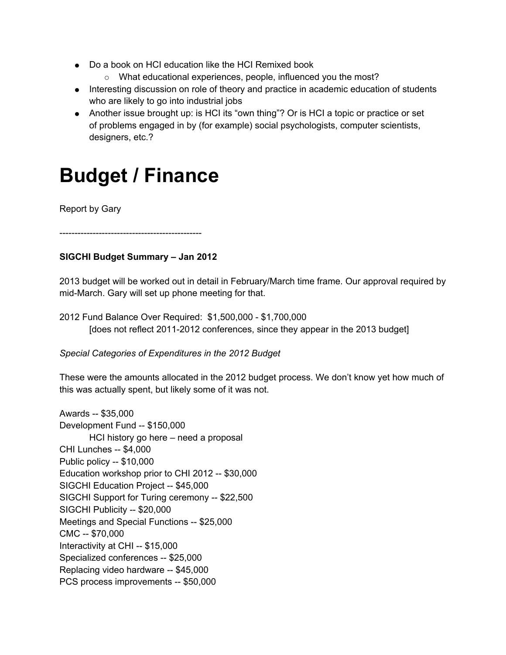- Do a book on HCI education like the HCI Remixed book
	- o What educational experiences, people, influenced you the most?
- Interesting discussion on role of theory and practice in academic education of students who are likely to go into industrial jobs
- Another issue brought up: is HCI its "own thing"? Or is HCI a topic or practice or set of problems engaged in by (for example) social psychologists, computer scientists, designers, etc.?

# **Budget / Finance**

Report by Gary

-----------------------------------------------

### **SIGCHI Budget Summary – Jan 2012**

2013 budget will be worked out in detail in February/March time frame. Our approval required by mid-March. Gary will set up phone meeting for that.

2012 Fund Balance Over Required: \$1,500,000 - \$1,700,000 [does not reflect 2011-2012 conferences, since they appear in the 2013 budget]

*Special Categories of Expenditures in the 2012 Budget*

These were the amounts allocated in the 2012 budget process. We don't know yet how much of this was actually spent, but likely some of it was not.

Awards -- \$35,000 Development Fund -- \$150,000 HCI history go here – need a proposal CHI Lunches -- \$4,000 Public policy -- \$10,000 Education workshop prior to CHI 2012 -- \$30,000 SIGCHI Education Project -- \$45,000 SIGCHI Support for Turing ceremony -- \$22,500 SIGCHI Publicity -- \$20,000 Meetings and Special Functions -- \$25,000 CMC -- \$70,000 Interactivity at CHI -- \$15,000 Specialized conferences -- \$25,000 Replacing video hardware -- \$45,000 PCS process improvements -- \$50,000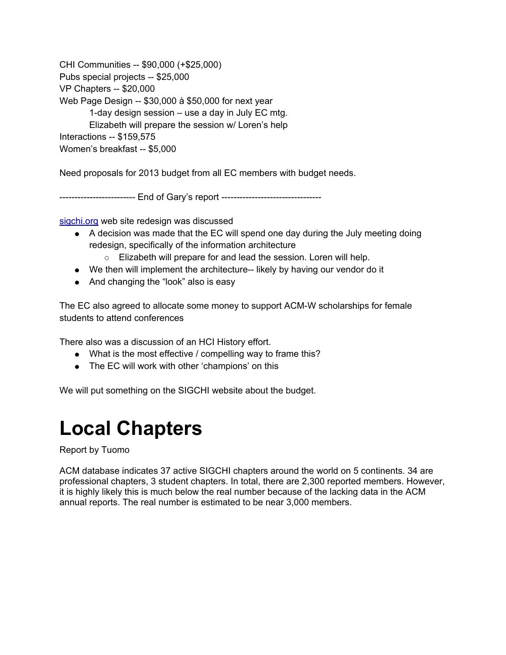CHI Communities -- \$90,000 (+\$25,000) Pubs special projects -- \$25,000 VP Chapters -- \$20,000 Web Page Design -- \$30,000 à \$50,000 for next year 1-day design session – use a day in July EC mtg. Elizabeth will prepare the session w/ Loren's help Interactions -- \$159,575 Women's breakfast -- \$5,000

Need proposals for 2013 budget from all EC members with budget needs.

------------------------- End of Gary's report ----------------------------------

[sigchi.org](http://sigchi.org) web site redesign was discussed

- A decision was made that the EC will spend one day during the July meeting doing redesign, specifically of the information architecture
	- Elizabeth will prepare for and lead the session. Loren will help.
- We then will implement the architecture-- likely by having our vendor do it
- And changing the "look" also is easy

The EC also agreed to allocate some money to support ACM-W scholarships for female students to attend conferences

There also was a discussion of an HCI History effort.

- What is the most effective / compelling way to frame this?
- The EC will work with other 'champions' on this

We will put something on the SIGCHI website about the budget.

# **Local Chapters**

Report by Tuomo

ACM database indicates 37 active SIGCHI chapters around the world on 5 continents. 34 are professional chapters, 3 student chapters. In total, there are 2,300 reported members. However, it is highly likely this is much below the real number because of the lacking data in the ACM annual reports. The real number is estimated to be near 3,000 members.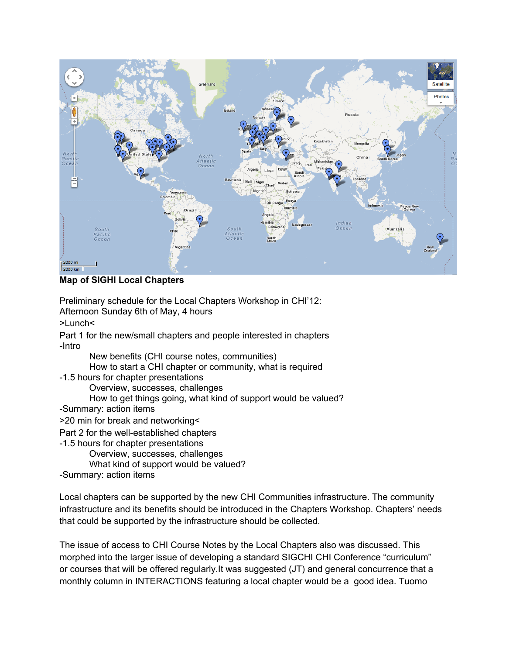

**Map of SIGHI Local Chapters**

Preliminary schedule for the Local Chapters Workshop in CHI'12: Afternoon Sunday 6th of May, 4 hours

>Lunch<

Part 1 for the new/small chapters and people interested in chapters -Intro

New benefits (CHI course notes, communities)

How to start a CHI chapter or community, what is required

-1.5 hours for chapter presentations

Overview, successes, challenges

- How to get things going, what kind of support would be valued?
- -Summary: action items

>20 min for break and networking<

Part 2 for the well-established chapters

-1.5 hours for chapter presentations

Overview, successes, challenges

What kind of support would be valued?

-Summary: action items

Local chapters can be supported by the new CHI Communities infrastructure. The community infrastructure and its benefits should be introduced in the Chapters Workshop. Chapters' needs that could be supported by the infrastructure should be collected.

The issue of access to CHI Course Notes by the Local Chapters also was discussed. This morphed into the larger issue of developing a standard SIGCHI CHI Conference "curriculum" or courses that will be offered regularly.It was suggested (JT) and general concurrence that a monthly column in INTERACTIONS featuring a local chapter would be a good idea. Tuomo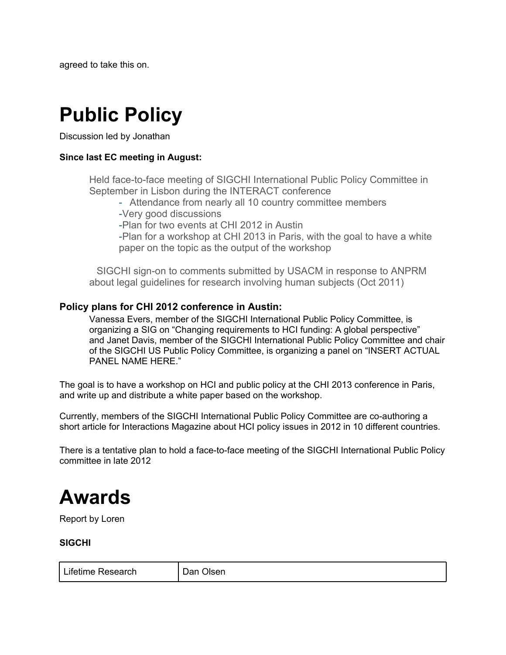agreed to take this on.

# **Public Policy**

Discussion led by Jonathan

### **Since last EC meeting in August:**

Held face-to-face meeting of SIGCHI International Public Policy Committee in September in Lisbon during the INTERACT conference

- Attendance from nearly all 10 country committee members

-Very good discussions

-Plan for two events at CHI 2012 in Austin

-Plan for a workshop at CHI 2013 in Paris, with the goal to have a white paper on the topic as the output of the workshop

SIGCHI sign-on to comments submitted by USACM in response to ANPRM about legal guidelines for research involving human subjects (Oct 2011)

### **Policy plans for CHI 2012 conference in Austin:**

Vanessa Evers, member of the SIGCHI International Public Policy Committee, is organizing a SIG on "Changing requirements to HCI funding: A global perspective" and Janet Davis, member of the SIGCHI International Public Policy Committee and chair of the SIGCHI US Public Policy Committee, is organizing a panel on "INSERT ACTUAL PANEL NAME HERE."

The goal is to have a workshop on HCI and public policy at the CHI 2013 conference in Paris, and write up and distribute a white paper based on the workshop.

Currently, members of the SIGCHI International Public Policy Committee are co-authoring a short article for Interactions Magazine about HCI policy issues in 2012 in 10 different countries.

There is a tentative plan to hold a face-to-face meeting of the SIGCHI International Public Policy committee in late 2012

# **Awards**

Report by Loren

**SIGCHI**

| Lifetime Research | Dan Olsen |
|-------------------|-----------|
|-------------------|-----------|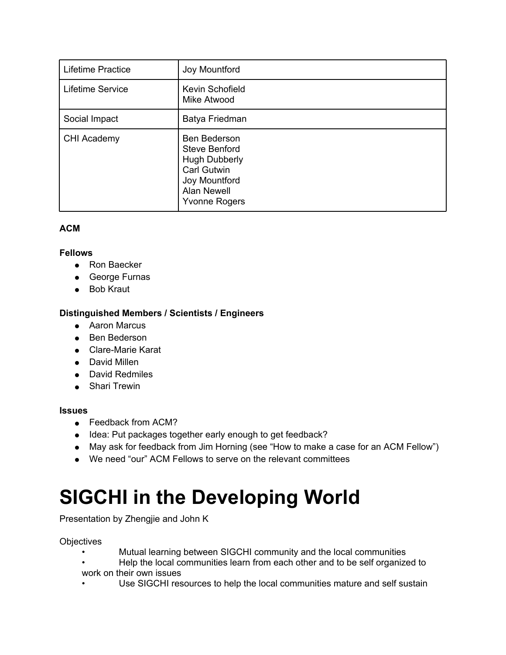| Lifetime Practice | Joy Mountford                                                                                                                                            |
|-------------------|----------------------------------------------------------------------------------------------------------------------------------------------------------|
| Lifetime Service  | Kevin Schofield<br>Mike Atwood                                                                                                                           |
| Social Impact     | Batya Friedman                                                                                                                                           |
| CHI Academy       | <b>Ben Bederson</b><br><b>Steve Benford</b><br><b>Hugh Dubberly</b><br><b>Carl Gutwin</b><br>Joy Mountford<br><b>Alan Newell</b><br><b>Yvonne Rogers</b> |

### **ACM**

### **Fellows**

- Ron Baecker
- George Furnas
- Bob Kraut

#### **Distinguished Members / Scientists / Engineers**

- Aaron Marcus
- Ben Bederson
- Clare-Marie Karat
- David Millen
- David Redmiles
- Shari Trewin

#### **Issues**

- Feedback from ACM?
- Idea: Put packages together early enough to get feedback?
- May ask for feedback from Jim Horning (see "How to make a case for an ACM Fellow")
- We need "our" ACM Fellows to serve on the relevant committees

# **SIGCHI in the Developing World**

Presentation by Zhengjie and John K

#### **Objectives**

- Mutual learning between SIGCHI community and the local communities
- Help the local communities learn from each other and to be self organized to work on their own issues
- Use SIGCHI resources to help the local communities mature and self sustain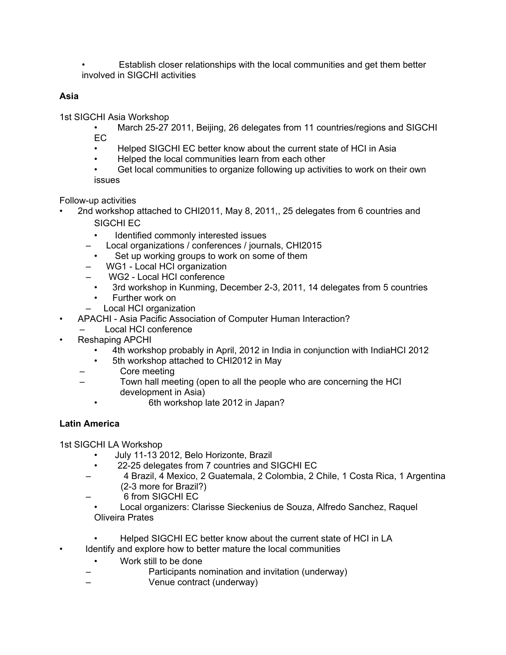• Establish closer relationships with the local communities and get them better involved in SIGCHI activities

### **Asia**

1st SIGCHI Asia Workshop

- March 25-27 2011, Beijing, 26 delegates from 11 countries/regions and SIGCHI EC
- Helped SIGCHI EC better know about the current state of HCI in Asia
- Helped the local communities learn from each other
- Get local communities to organize following up activities to work on their own issues

Follow-up activities

- 2nd workshop attached to CHI2011, May 8, 2011,, 25 delegates from 6 countries and SIGCHI EC
	- Identified commonly interested issues
	- Local organizations / conferences / journals, CHI2015
	- Set up working groups to work on some of them
	- WG1 Local HCI organization
	- WG2 Local HCI conference
		- 3rd workshop in Kunming, December 2-3, 2011, 14 delegates from 5 countries
		- Further work on
	- Local HCI organization
- APACHI Asia Pacific Association of Computer Human Interaction?
	- Local HCI conference
- Reshaping APCHI
	- 4th workshop probably in April, 2012 in India in conjunction with IndiaHCI 2012
	- 5th workshop attached to CHI2012 in May
	- Core meeting
	- Town hall meeting (open to all the people who are concerning the HCI development in Asia)
		- 6th workshop late 2012 in Japan?

### **Latin America**

1st SIGCHI LA Workshop

- July 11-13 2012, Belo Horizonte, Brazil
- 22-25 delegates from 7 countries and SIGCHI EC
- 4 Brazil, 4 Mexico, 2 Guatemala, 2 Colombia, 2 Chile, 1 Costa Rica, 1 Argentina (2-3 more for Brazil?)
- 6 from SIGCHI EC
- Local organizers: Clarisse Sieckenius de Souza, Alfredo Sanchez, Raquel Oliveira Prates
- Helped SIGCHI EC better know about the current state of HCI in LA
- Identify and explore how to better mature the local communities
	- Work still to be done
	- Participants nomination and invitation (underway)
	- Venue contract (underway)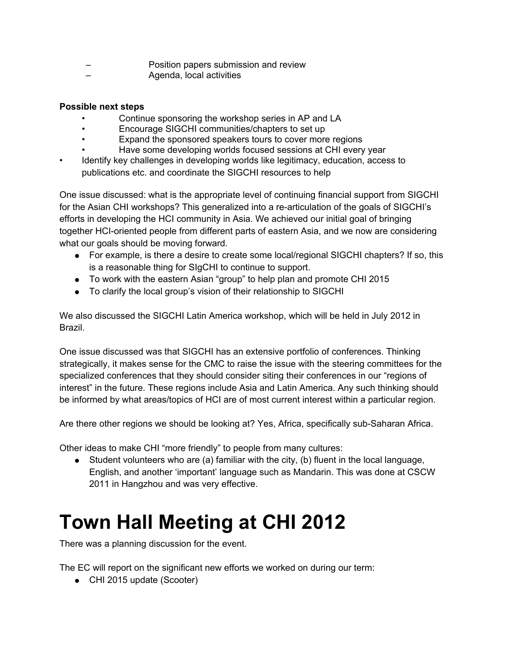- Position papers submission and review
	- Agenda, local activities

#### **Possible next steps**

- Continue sponsoring the workshop series in AP and LA
- Encourage SIGCHI communities/chapters to set up
- Expand the sponsored speakers tours to cover more regions
- Have some developing worlds focused sessions at CHI every year
- Identify key challenges in developing worlds like legitimacy, education, access to publications etc. and coordinate the SIGCHI resources to help

One issue discussed: what is the appropriate level of continuing financial support from SIGCHI for the Asian CHI workshops? This generalized into a re-articulation of the goals of SIGCHI's efforts in developing the HCI community in Asia. We achieved our initial goal of bringing together HCI-oriented people from different parts of eastern Asia, and we now are considering what our goals should be moving forward.

- For example, is there a desire to create some local/regional SIGCHI chapters? If so, this is a reasonable thing for SIgCHI to continue to support.
- To work with the eastern Asian "group" to help plan and promote CHI 2015
- To clarify the local group's vision of their relationship to SIGCHI

We also discussed the SIGCHI Latin America workshop, which will be held in July 2012 in Brazil.

One issue discussed was that SIGCHI has an extensive portfolio of conferences. Thinking strategically, it makes sense for the CMC to raise the issue with the steering committees for the specialized conferences that they should consider siting their conferences in our "regions of interest" in the future. These regions include Asia and Latin America. Any such thinking should be informed by what areas/topics of HCI are of most current interest within a particular region.

Are there other regions we should be looking at? Yes, Africa, specifically sub-Saharan Africa.

Other ideas to make CHI "more friendly" to people from many cultures:

● Student volunteers who are (a) familiar with the city, (b) fluent in the local language, English, and another 'important' language such as Mandarin. This was done at CSCW 2011 in Hangzhou and was very effective.

# **Town Hall Meeting at CHI 2012**

There was a planning discussion for the event.

The EC will report on the significant new efforts we worked on during our term:

● CHI 2015 update (Scooter)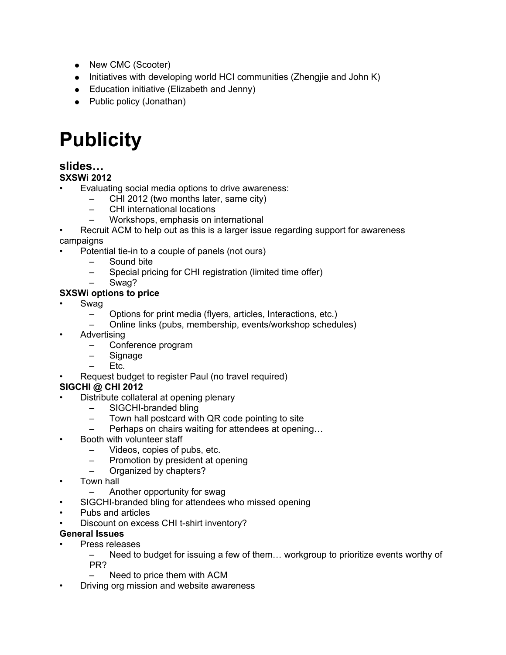- New CMC (Scooter)
- Initiatives with developing world HCI communities (Zhengjie and John K)
- Education initiative (Elizabeth and Jenny)
- Public policy (Jonathan)

# **Publicity**

### **slides…**

### **SXSWi 2012**

- Evaluating social media options to drive awareness:
	- CHI 2012 (two months later, same city)
	- CHI international locations
	- Workshops, emphasis on international
- Recruit ACM to help out as this is a larger issue regarding support for awareness campaigns
- Potential tie-in to a couple of panels (not ours)
	- Sound bite
	- Special pricing for CHI registration (limited time offer)
	- Swag?

### **SXSWi options to price**

- Swag
	- Options for print media (flyers, articles, Interactions, etc.)
	- Online links (pubs, membership, events/workshop schedules)
- Advertising
	- Conference program
	- Signage
	- Etc.
- Request budget to register Paul (no travel required)

### **SIGCHI @ CHI 2012**

- Distribute collateral at opening plenary
	- SIGCHI-branded bling
	- Town hall postcard with QR code pointing to site
	- Perhaps on chairs waiting for attendees at opening…
- Booth with volunteer staff
	- Videos, copies of pubs, etc.
	- Promotion by president at opening
	- Organized by chapters?
- Town hall
	- Another opportunity for swag
- SIGCHI-branded bling for attendees who missed opening
- Pubs and articles
- Discount on excess CHI t-shirt inventory?

### **General Issues**

- Press releases
	- Need to budget for issuing a few of them… workgroup to prioritize events worthy of PR?
	- Need to price them with ACM
- Driving org mission and website awareness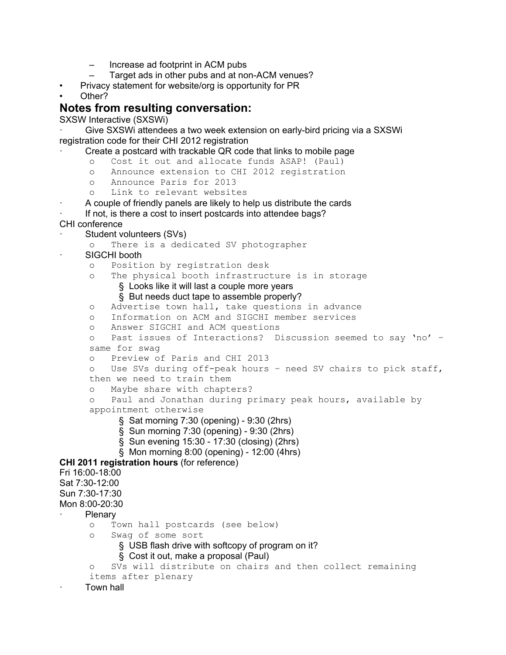- Increase ad footprint in ACM pubs
- Target ads in other pubs and at non-ACM venues?
- Privacy statement for website/org is opportunity for PR
- Other?

### **Notes from resulting conversation:**

SXSW Interactive (SXSWi)

```
Give SXSWi attendees a two week extension on early-bird pricing via a SXSWi
registration code for their CHI 2012 registration
```
- Create a postcard with trackable QR code that links to mobile page
	- o Cost it out and allocate funds ASAP! (Paul)
	- o Announce extension to CHI 2012 registration
	- o Announce Paris for 2013
	- o Link to relevant websites
- · A couple of friendly panels are likely to help us distribute the cards
- If not, is there a cost to insert postcards into attendee bags?
- CHI conference
- Student volunteers (SVs)
	- o There is a dedicated SV photographer
- SIGCHI booth
	- o Position by registration desk
	- o The physical booth infrastructure is in storage
		- § Looks like it will last a couple more years
		- § But needs duct tape to assemble properly?
	- o Advertise town hall, take questions in advance
	- o Information on ACM and SIGCHI member services
	- o Answer SIGCHI and ACM questions
	- o Past issues of Interactions? Discussion seemed to say 'no' same for swag
	- o Preview of Paris and CHI 2013
	- o Use SVs during off-peak hours need SV chairs to pick staff, then we need to train them
	- o Maybe share with chapters?

```
o Paul and Jonathan during primary peak hours, available by
appointment otherwise
```
- § Sat morning 7:30 (opening) 9:30 (2hrs)
- § Sun morning 7:30 (opening) 9:30 (2hrs)
- § Sun evening 15:30 17:30 (closing) (2hrs)
- § Mon morning 8:00 (opening) 12:00 (4hrs)

**CHI 2011 registration hours** (for reference)

```
Fri 16:00-18:00
```
- Sat 7:30-12:00
- Sun 7:30-17:30
- Mon 8:00-20:30
- **Plenary** 
	- o Town hall postcards (see below)
	- o Swag of some sort
		- § USB flash drive with softcopy of program on it?
			- § Cost it out, make a proposal (Paul)

```
o SVs will distribute on chairs and then collect remaining
items after plenary
```
Town hall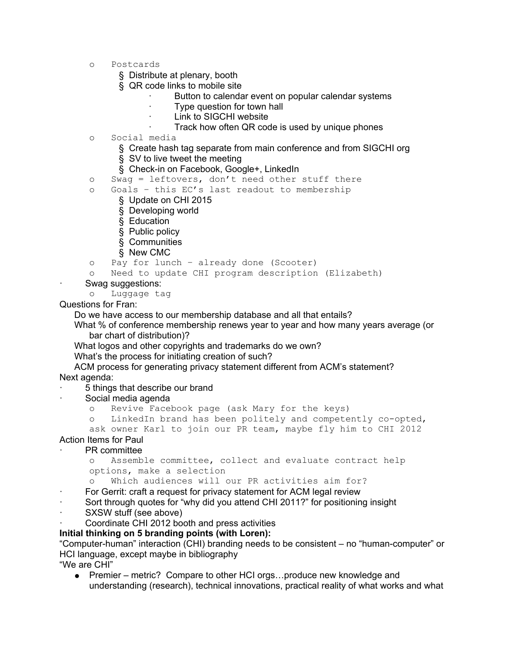- o Postcards
	- § Distribute at plenary, booth
	- § QR code links to mobile site
		- Button to calendar event on popular calendar systems
		- Type question for town hall
		- Link to SIGCHI website
		- Track how often QR code is used by unique phones
- o Social media
	- § Create hash tag separate from main conference and from SIGCHI org
	- § SV to live tweet the meeting
	- § Check-in on Facebook, Google+, LinkedIn
- o Swag = leftovers, don't need other stuff there
- o Goals this EC's last readout to membership
	- § Update on CHI 2015
		- § Developing world
		- § Education
		- § Public policy
		- § Communities
		- § New CMC
- o Pay for lunch already done (Scooter)
- o Need to update CHI program description (Elizabeth)
- Swag suggestions:
	- o Luggage tag

Questions for Fran:

Do we have access to our membership database and all that entails?

What % of conference membership renews year to year and how many years average (or bar chart of distribution)?

What logos and other copyrights and trademarks do we own?

What's the process for initiating creation of such?

ACM process for generating privacy statement different from ACM's statement? Next agenda:

- · 5 things that describe our brand
- Social media agenda
	- o Revive Facebook page (ask Mary for the keys)

o LinkedIn brand has been politely and competently co-opted, ask owner Karl to join our PR team, maybe fly him to CHI 2012

## Action Items for Paul

### PR committee

```
o Assemble committee, collect and evaluate contract help
options, make a selection
```
o Which audiences will our PR activities aim for?

- For Gerrit: craft a request for privacy statement for ACM legal review
- Sort through quotes for "why did you attend CHI 2011?" for positioning insight
- SXSW stuff (see above)
- Coordinate CHI 2012 booth and press activities

#### **Initial thinking on 5 branding points (with Loren):**

"Computer-human" interaction (CHI) branding needs to be consistent – no "human-computer" or HCI language, except maybe in bibliography

"We are CHI"

● Premier – metric? Compare to other HCI orgs...produce new knowledge and understanding (research), technical innovations, practical reality of what works and what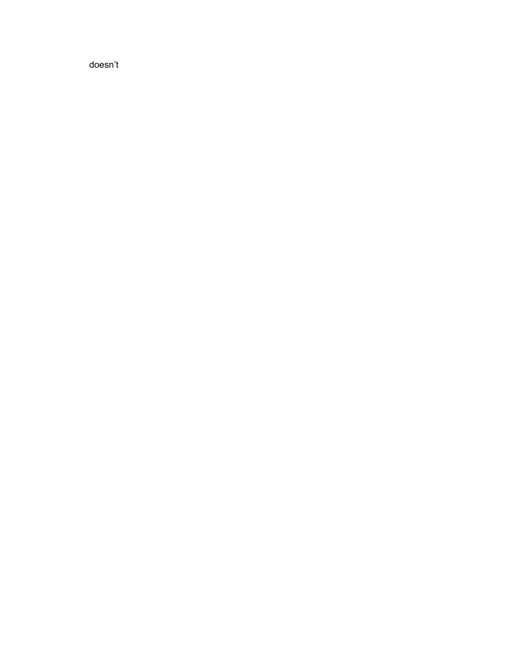doesn't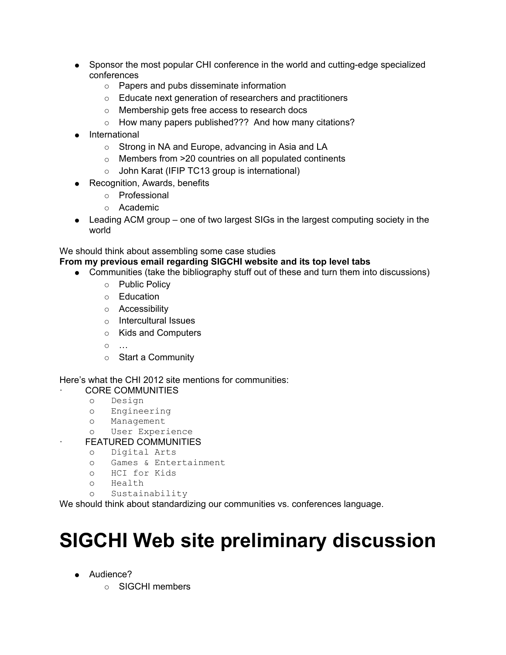- Sponsor the most popular CHI conference in the world and cutting-edge specialized conferences
	- Papers and pubs disseminate information
	- Educate next generation of researchers and practitioners
	- Membership gets free access to research docs
	- How many papers published??? And how many citations?
- International
	- Strong in NA and Europe, advancing in Asia and LA
	- Members from >20 countries on all populated continents
	- John Karat (IFIP TC13 group is international)
- Recognition, Awards, benefits
	- Professional
	- Academic
- Leading ACM group one of two largest SIGs in the largest computing society in the world

### We should think about assembling some case studies

#### **From my previous email regarding SIGCHI website and its top level tabs**

- Communities (take the bibliography stuff out of these and turn them into discussions)
	- Public Policy
	- Education
	- Accessibility
	- Intercultural Issues
	- Kids and Computers
	- …
	- Start a Community

### Here's what the CHI 2012 site mentions for communities:

- **CORE COMMUNITIES** 
	- o Design
	- o Engineering
	- o Management
	- o User Experience
- **FEATURED COMMUNITIES** 
	- o Digital Arts
	- o Games & Entertainment
	- o HCI for Kids
	- o Health
	- o Sustainability

We should think about standardizing our communities vs. conferences language.

# **SIGCHI Web site preliminary discussion**

- Audience?
	- SIGCHI members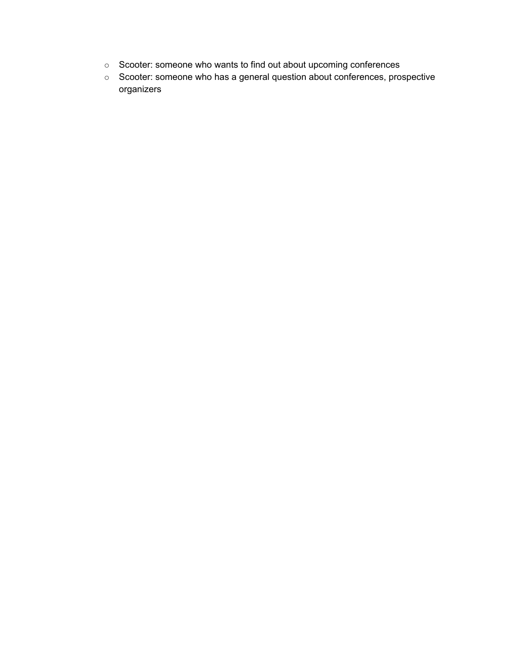- Scooter: someone who wants to find out about upcoming conferences
- Scooter: someone who has a general question about conferences, prospective organizers